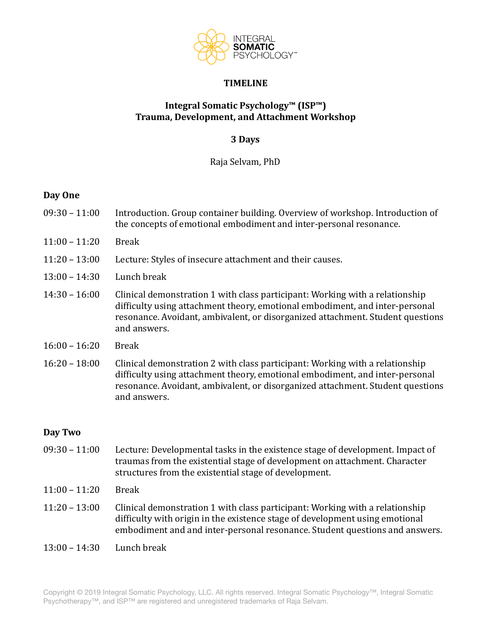

### **TIMELINE**

# **Integral Somatic Psychology™ (ISP™) Trauma, Development, and Attachment Workshop**

## **3 Days**

Raja Selvam, PhD 

### **Day One**

- $09:30 11:00$  Introduction. Group container building. Overview of workshop. Introduction of the concepts of emotional embodiment and inter-personal resonance.
- $11:00 11:20$  Break
- 11:20 13:00 Lecture: Styles of insecure attachment and their causes.
- $13:00 14:30$  Lunch break
- 14:30 16:00 Clinical demonstration 1 with class participant: Working with a relationship difficulty using attachment theory, emotional embodiment, and inter-personal resonance. Avoidant, ambivalent, or disorganized attachment. Student questions and answers.
- $16:00 16:20$  Break
- 16:20 18:00 Clinical demonstration 2 with class participant: Working with a relationship difficulty using attachment theory, emotional embodiment, and inter-personal resonance. Avoidant, ambivalent, or disorganized attachment. Student questions and answers.

#### Day Two

- $09:30 11:00$  Lecture: Developmental tasks in the existence stage of development. Impact of traumas from the existential stage of development on attachment. Character structures from the existential stage of development.
- $11:00 11:20$  Break
- $11:20 13:00$  Clinical demonstration 1 with class participant: Working with a relationship difficulty with origin in the existence stage of development using emotional embodiment and and inter-personal resonance. Student questions and answers.
- $13:00 14:30$  Lunch break